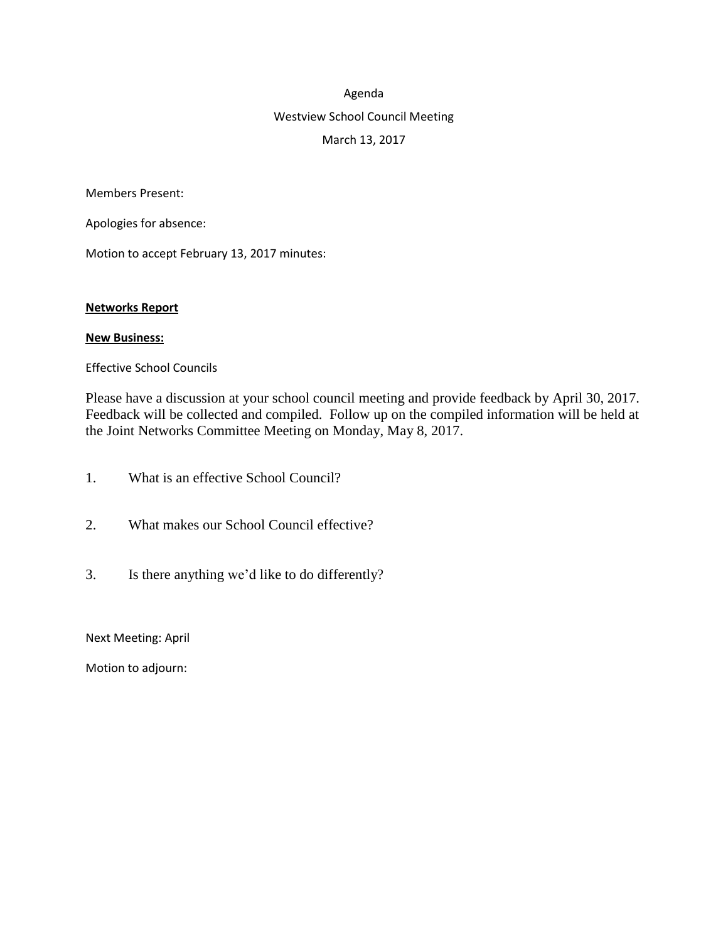## Agenda

# Westview School Council Meeting March 13, 2017

Members Present:

Apologies for absence:

Motion to accept February 13, 2017 minutes:

#### **Networks Report**

#### **New Business:**

Effective School Councils

Please have a discussion at your school council meeting and provide feedback by April 30, 2017. Feedback will be collected and compiled. Follow up on the compiled information will be held at the Joint Networks Committee Meeting on Monday, May 8, 2017.

- 1. What is an effective School Council?
- 2. What makes our School Council effective?
- 3. Is there anything we'd like to do differently?

Next Meeting: April

Motion to adjourn: